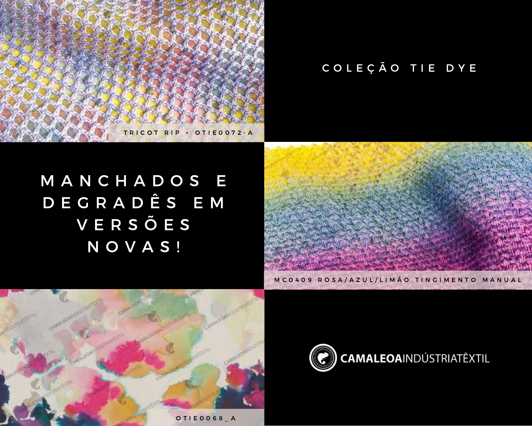

## COLEÇÃO TIE DYE

## M A N C H A D O S E D E G R A D Ê S E M V E R S Õ E S N O V A S !



M C 0 4 0 9 R O S A / A Z U L / L I M Ã O T I N G I M E N T O M A N U A L



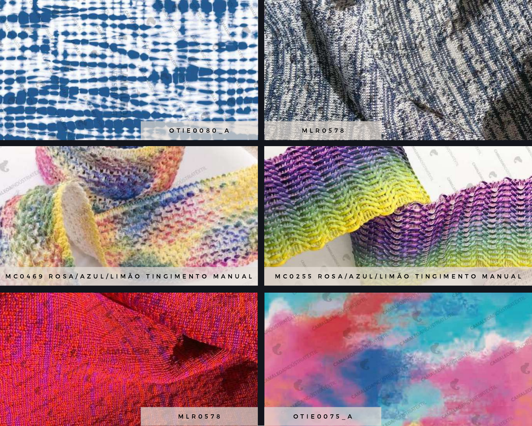

M C 0 4 6 9 R O S A / A Z U L / L I M Ã O T I N G I M E N T O M A N U A L

M C 0 2 5 5 R O S A / A Z U L / L I M Ã O T I N G I M E N T O M A N U A L